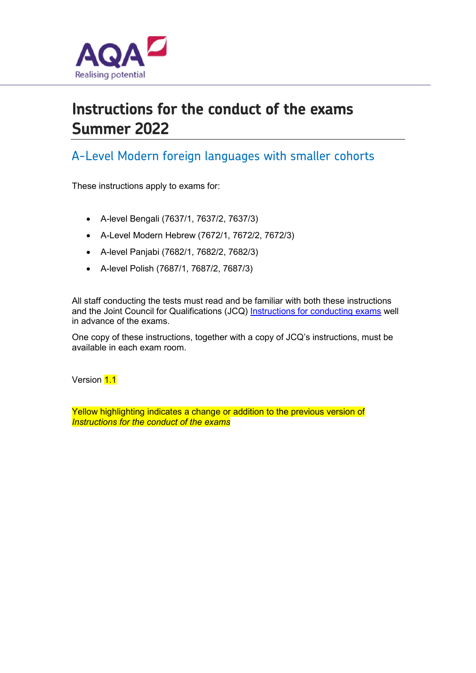

# **Instructions for the conduct of the exams Summer 2022**

## A-Level Modern foreign languages with smaller cohorts

These instructions apply to exams for:

- A-level Bengali (7637/1, 7637/2, 7637/3)
- A-Level Modern Hebrew (7672/1, 7672/2, 7672/3)
- A-level Panjabi (7682/1, 7682/2, 7682/3)
- A-level Polish (7687/1, 7687/2, 7687/3)

All staff conducting the tests must read and be familiar with both these instructions and the Joint Council for Qualifications (JCQ) Instructions for conducting exams well in advance of the exams.

One copy of these instructions, together with a copy of JCQ's instructions, must be available in each exam room.

Version 1.1

Yellow highlighting indicates a change or addition to the previous version of *Instructions for the conduct of the exams*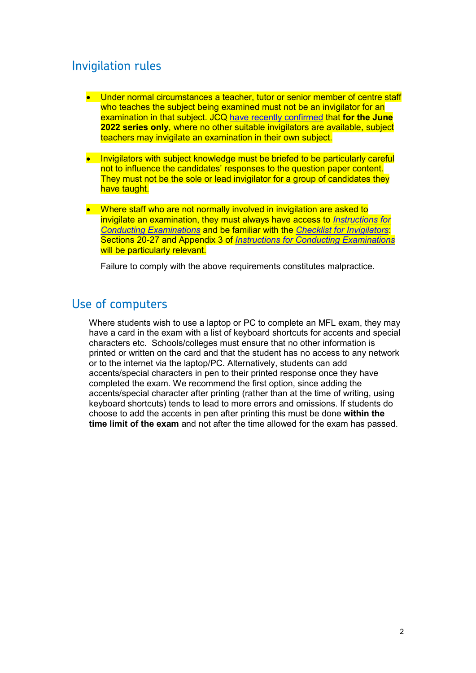## Invigilation rules

- Under normal circumstances a teacher, tutor or senior member of centre staff who teaches the subject being examined must not be an invigilator for an examination in that subject. JCQ have recently confirmed that **for the June 2022 series only**, where no other suitable invigilators are available, subject teachers may invigilate an examination in their own subject.
- Invigilators with subject knowledge must be briefed to be particularly careful not to influence the candidates' responses to the question paper content. They must not be the sole or lead invigilator for a group of candidates they have taught.
- Where staff who are not normally involved in invigilation are asked to invigilate an examination, they must always have access to *Instructions for Conducting Examinations* and be familiar with the *Checklist for Invigilators*: Sections 20-27 and Appendix 3 of *Instructions for Conducting Examinations* will be particularly relevant.

Failure to comply with the above requirements constitutes malpractice*.* 

## Use of computers

Where students wish to use a laptop or PC to complete an MFL exam, they may have a card in the exam with a list of keyboard shortcuts for accents and special characters etc. Schools/colleges must ensure that no other information is printed or written on the card and that the student has no access to any network or to the internet via the laptop/PC. Alternatively, students can add accents/special characters in pen to their printed response once they have completed the exam. We recommend the first option, since adding the accents/special character after printing (rather than at the time of writing, using keyboard shortcuts) tends to lead to more errors and omissions. If students do choose to add the accents in pen after printing this must be done **within the time limit of the exam** and not after the time allowed for the exam has passed.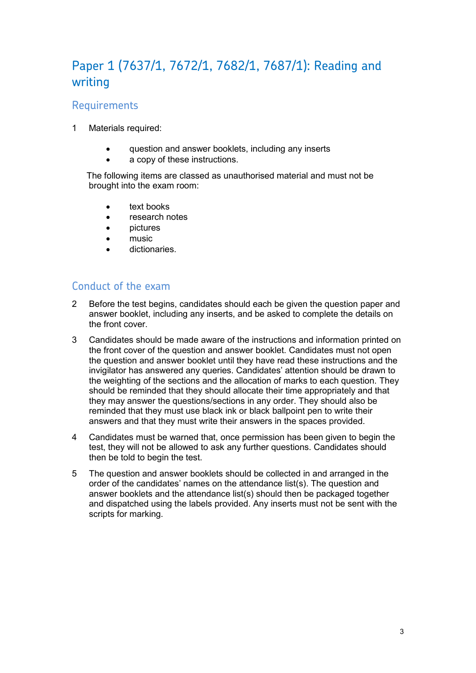# Paper 1 (7637/1, 7672/1, 7682/1, 7687/1): Reading and writing

### **Requirements**

- 1 Materials required:
	- question and answer booklets, including any inserts
	- a copy of these instructions.

 The following items are classed as unauthorised material and must not be brought into the exam room:

- text books
- research notes
- pictures
- music
- dictionaries.

#### Conduct of the exam

- 2 Before the test begins, candidates should each be given the question paper and answer booklet, including any inserts, and be asked to complete the details on the front cover.
- 3 Candidates should be made aware of the instructions and information printed on the front cover of the question and answer booklet. Candidates must not open the question and answer booklet until they have read these instructions and the invigilator has answered any queries. Candidates' attention should be drawn to the weighting of the sections and the allocation of marks to each question. They should be reminded that they should allocate their time appropriately and that they may answer the questions/sections in any order. They should also be reminded that they must use black ink or black ballpoint pen to write their answers and that they must write their answers in the spaces provided.
- 4 Candidates must be warned that, once permission has been given to begin the test, they will not be allowed to ask any further questions. Candidates should then be told to begin the test.
- 5 The question and answer booklets should be collected in and arranged in the order of the candidates' names on the attendance list(s). The question and answer booklets and the attendance list(s) should then be packaged together and dispatched using the labels provided. Any inserts must not be sent with the scripts for marking.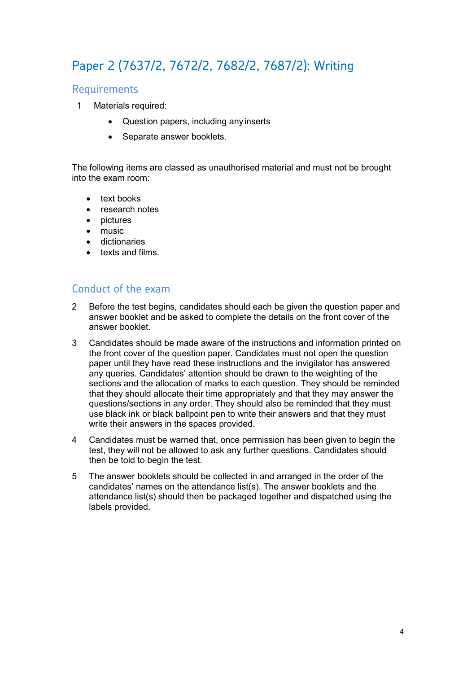# Paper 2 (7637/2, 7672/2, 7682/2, 7687/2): Writing

#### Requirements

- 1 Materials required:
	- Question papers, including anyinserts
	- Separate answer booklets.

The following items are classed as unauthorised material and must not be brought into the exam room:

- text books
- research notes
- pictures
- music
- dictionaries
- texts and films.

#### Conduct of the exam

- 2 Before the test begins, candidates should each be given the question paper and answer booklet and be asked to complete the details on the front cover of the answer booklet.
- 3 Candidates should be made aware of the instructions and information printed on the front cover of the question paper. Candidates must not open the question paper until they have read these instructions and the invigilator has answered any queries. Candidates' attention should be drawn to the weighting of the sections and the allocation of marks to each question. They should be reminded that they should allocate their time appropriately and that they may answer the questions/sections in any order. They should also be reminded that they must use black ink or black ballpoint pen to write their answers and that they must write their answers in the spaces provided.
- 4 Candidates must be warned that, once permission has been given to begin the test, they will not be allowed to ask any further questions. Candidates should then be told to begin the test.
- 5 The answer booklets should be collected in and arranged in the order of the candidates' names on the attendance list(s). The answer booklets and the attendance list(s) should then be packaged together and dispatched using the labels provided.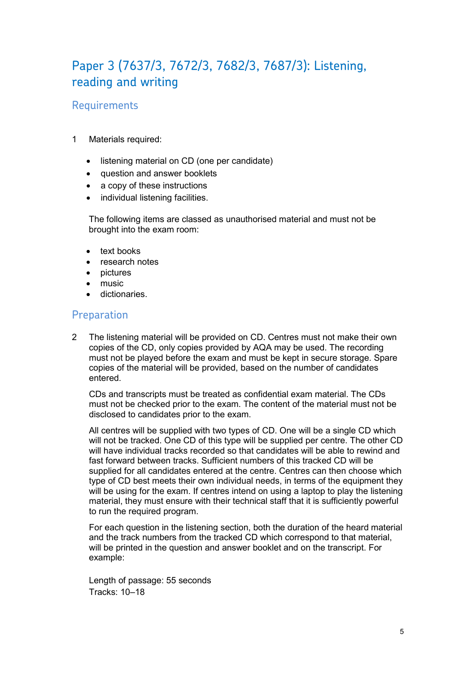## Paper 3 (7637/3, 7672/3, 7682/3, 7687/3): Listening, reading and writing

### **Requirements**

- 1 Materials required:
	- listening material on CD (one per candidate)
	- question and answer booklets
	- a copy of these instructions
	- individual listening facilities.

The following items are classed as unauthorised material and must not be brought into the exam room:

- text books
- research notes
- pictures
- music.
- dictionaries.

#### Preparation

2 The listening material will be provided on CD. Centres must not make their own copies of the CD, only copies provided by AQA may be used. The recording must not be played before the exam and must be kept in secure storage. Spare copies of the material will be provided, based on the number of candidates entered.

CDs and transcripts must be treated as confidential exam material. The CDs must not be checked prior to the exam. The content of the material must not be disclosed to candidates prior to the exam.

All centres will be supplied with two types of CD. One will be a single CD which will not be tracked. One CD of this type will be supplied per centre. The other CD will have individual tracks recorded so that candidates will be able to rewind and fast forward between tracks. Sufficient numbers of this tracked CD will be supplied for all candidates entered at the centre. Centres can then choose which type of CD best meets their own individual needs, in terms of the equipment they will be using for the exam. If centres intend on using a laptop to play the listening material, they must ensure with their technical staff that it is sufficiently powerful to run the required program.

For each question in the listening section, both the duration of the heard material and the track numbers from the tracked CD which correspond to that material, will be printed in the question and answer booklet and on the transcript. For example:

Length of passage: 55 seconds Tracks: 10–18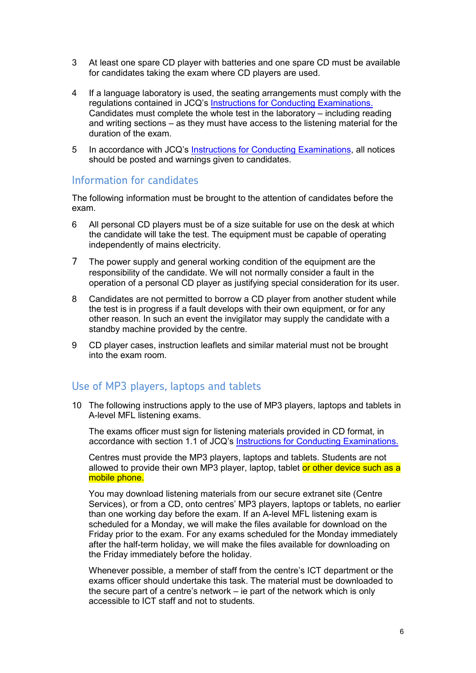- 3 At least one spare CD player with batteries and one spare CD must be available for candidates taking the exam where CD players are used.
- 4 If a language laboratory is used, the seating arrangements must comply with the regulations contained in JCQ's Instructions for Conducting Examinations. Candidates must complete the whole test in the laboratory – including reading and writing sections – as they must have access to the listening material for the duration of the exam.
- 5 In accordance with JCQ's Instructions for Conducting Examinations, all notices should be posted and warnings given to candidates.

#### Information for candidates

The following information must be brought to the attention of candidates before the exam.

- 6 All personal CD players must be of a size suitable for use on the desk at which the candidate will take the test. The equipment must be capable of operating independently of mains electricity.
- 7 The power supply and general working condition of the equipment are the responsibility of the candidate. We will not normally consider a fault in the operation of a personal CD player as justifying special consideration for its user.
- 8 Candidates are not permitted to borrow a CD player from another student while the test is in progress if a fault develops with their own equipment, or for any other reason. In such an event the invigilator may supply the candidate with a standby machine provided by the centre.
- 9 CD player cases, instruction leaflets and similar material must not be brought into the exam room.

#### Use of MP3 players, laptops and tablets

10 The following instructions apply to the use of MP3 players, laptops and tablets in A-level MFL listening exams.

The exams officer must sign for listening materials provided in CD format, in accordance with section 1.1 of JCQ's Instructions for Conducting Examinations.

Centres must provide the MP3 players, laptops and tablets. Students are not allowed to provide their own MP3 player, laptop, tablet or other device such as a mobile phone.

You may download listening materials from our secure extranet site (Centre Services), or from a CD, onto centres' MP3 players, laptops or tablets, no earlier than one working day before the exam. If an A-level MFL listening exam is scheduled for a Monday, we will make the files available for download on the Friday prior to the exam. For any exams scheduled for the Monday immediately after the half-term holiday, we will make the files available for downloading on the Friday immediately before the holiday.

Whenever possible, a member of staff from the centre's ICT department or the exams officer should undertake this task. The material must be downloaded to the secure part of a centre's network – ie part of the network which is only accessible to ICT staff and not to students.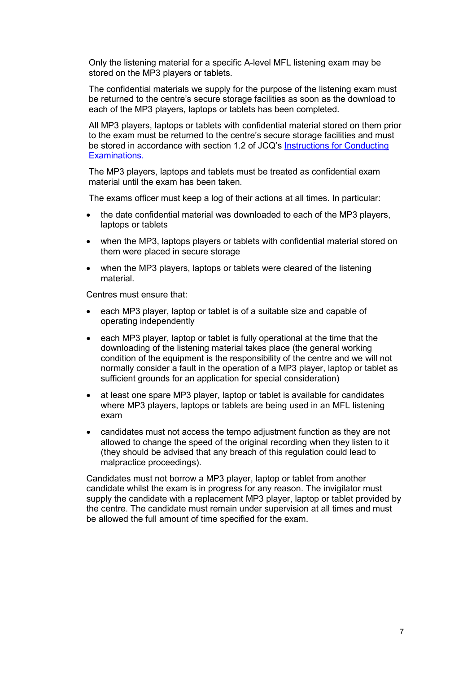Only the listening material for a specific A-level MFL listening exam may be stored on the MP3 players or tablets.

The confidential materials we supply for the purpose of the listening exam must be returned to the centre's secure storage facilities as soon as the download to each of the MP3 players, laptops or tablets has been completed.

All MP3 players, laptops or tablets with confidential material stored on them prior to the exam must be returned to the centre's secure storage facilities and must be stored in accordance with section 1.2 of JCQ's Instructions for Conducting Examinations.

The MP3 players, laptops and tablets must be treated as confidential exam material until the exam has been taken.

The exams officer must keep a log of their actions at all times. In particular:

- the date confidential material was downloaded to each of the MP3 players, laptops or tablets
- when the MP3, laptops players or tablets with confidential material stored on them were placed in secure storage
- when the MP3 players, laptops or tablets were cleared of the listening material.

Centres must ensure that:

- each MP3 player, laptop or tablet is of a suitable size and capable of operating independently
- each MP3 player, laptop or tablet is fully operational at the time that the downloading of the listening material takes place (the general working condition of the equipment is the responsibility of the centre and we will not normally consider a fault in the operation of a MP3 player, laptop or tablet as sufficient grounds for an application for special consideration)
- at least one spare MP3 player, laptop or tablet is available for candidates where MP3 players, laptops or tablets are being used in an MFL listening exam
- candidates must not access the tempo adjustment function as they are not allowed to change the speed of the original recording when they listen to it (they should be advised that any breach of this regulation could lead to malpractice proceedings).

Candidates must not borrow a MP3 player, laptop or tablet from another candidate whilst the exam is in progress for any reason. The invigilator must supply the candidate with a replacement MP3 player, laptop or tablet provided by the centre. The candidate must remain under supervision at all times and must be allowed the full amount of time specified for the exam.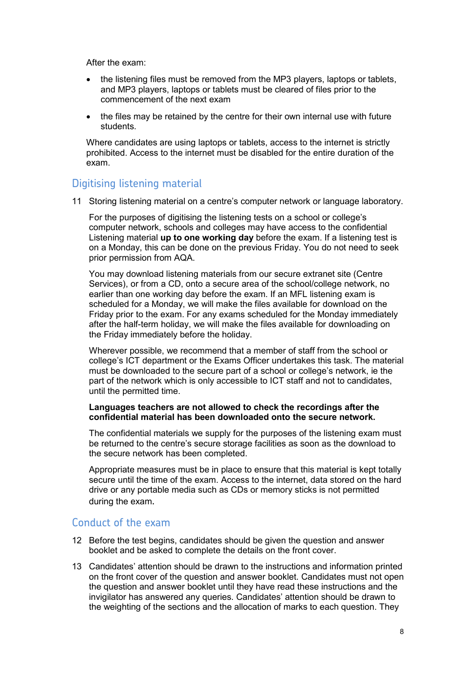After the exam:

- the listening files must be removed from the MP3 players, laptops or tablets, and MP3 players, laptops or tablets must be cleared of files prior to the commencement of the next exam
- the files may be retained by the centre for their own internal use with future students.

Where candidates are using laptops or tablets, access to the internet is strictly prohibited. Access to the internet must be disabled for the entire duration of the exam.

#### Digitising listening material

11 Storing listening material on a centre's computer network or language laboratory.

For the purposes of digitising the listening tests on a school or college's computer network, schools and colleges may have access to the confidential Listening material **up to one working day** before the exam. If a listening test is on a Monday, this can be done on the previous Friday. You do not need to seek prior permission from AQA.

You may download listening materials from our secure extranet site (Centre Services), or from a CD, onto a secure area of the school/college network, no earlier than one working day before the exam. If an MFL listening exam is scheduled for a Monday, we will make the files available for download on the Friday prior to the exam. For any exams scheduled for the Monday immediately after the half-term holiday, we will make the files available for downloading on the Friday immediately before the holiday.

Wherever possible, we recommend that a member of staff from the school or college's ICT department or the Exams Officer undertakes this task. The material must be downloaded to the secure part of a school or college's network, ie the part of the network which is only accessible to ICT staff and not to candidates, until the permitted time.

#### **Languages teachers are not allowed to check the recordings after the confidential material has been downloaded onto the secure network.**

The confidential materials we supply for the purposes of the listening exam must be returned to the centre's secure storage facilities as soon as the download to the secure network has been completed.

Appropriate measures must be in place to ensure that this material is kept totally secure until the time of the exam. Access to the internet, data stored on the hard drive or any portable media such as CDs or memory sticks is not permitted during the exam.

#### Conduct of the exam

- 12 Before the test begins, candidates should be given the question and answer booklet and be asked to complete the details on the front cover.
- 13 Candidates' attention should be drawn to the instructions and information printed on the front cover of the question and answer booklet. Candidates must not open the question and answer booklet until they have read these instructions and the invigilator has answered any queries. Candidates' attention should be drawn to the weighting of the sections and the allocation of marks to each question. They